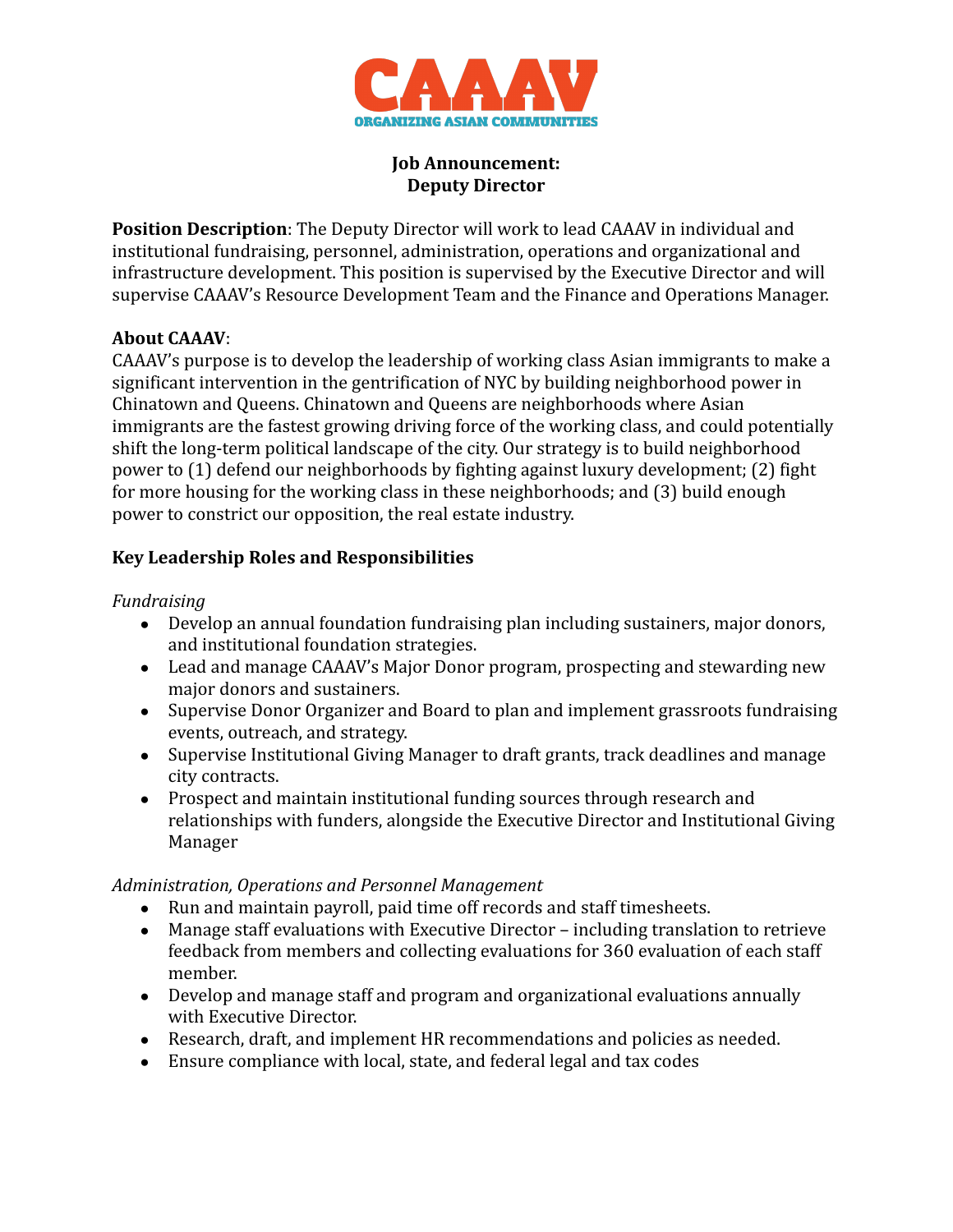

#### **Job Announcement: Deputy Director**

**Position Description**: The Deputy Director will work to lead CAAAV in individual and institutional fundraising, personnel, administration, operations and organizational and infrastructure development. This position is supervised by the Executive Director and will supervise CAAAV's Resource Development Team and the Finance and Operations Manager.

### **About CAAAV**:

CAAAV's purpose is to develop the leadership of working class Asian immigrants to make a significant intervention in the gentrification of NYC by building neighborhood power in Chinatown and Queens. Chinatown and Queens are neighborhoods where Asian immigrants are the fastest growing driving force of the working class, and could potentially shift the long-term political landscape of the city. Our strategy is to build neighborhood power to (1) defend our neighborhoods by fighting against luxury development; (2) fight for more housing for the working class in these neighborhoods; and (3) build enough power to constrict our opposition, the real estate industry.

# **Key Leadership Roles and Responsibilities**

#### *Fundraising*

- Develop an annual foundation fundraising plan including sustainers, major donors, and institutional foundation strategies.
- Lead and manage CAAAV's Major Donor program, prospecting and stewarding new major donors and sustainers.
- Supervise Donor Organizer and Board to plan and implement grassroots fundraising events, outreach, and strategy.
- Supervise Institutional Giving Manager to draft grants, track deadlines and manage city contracts.
- Prospect and maintain institutional funding sources through research and relationships with funders, alongside the Executive Director and Institutional Giving Manager

#### *Administration, Operations and Personnel Management*

- Run and maintain payroll, paid time off records and staff timesheets.
- Manage staff evaluations with Executive Director including translation to retrieve feedback from members and collecting evaluations for 360 evaluation of each staff member.
- Develop and manage staff and program and organizational evaluations annually with Executive Director.
- Research, draft, and implement HR recommendations and policies as needed.
- Ensure compliance with local, state, and federal legal and tax codes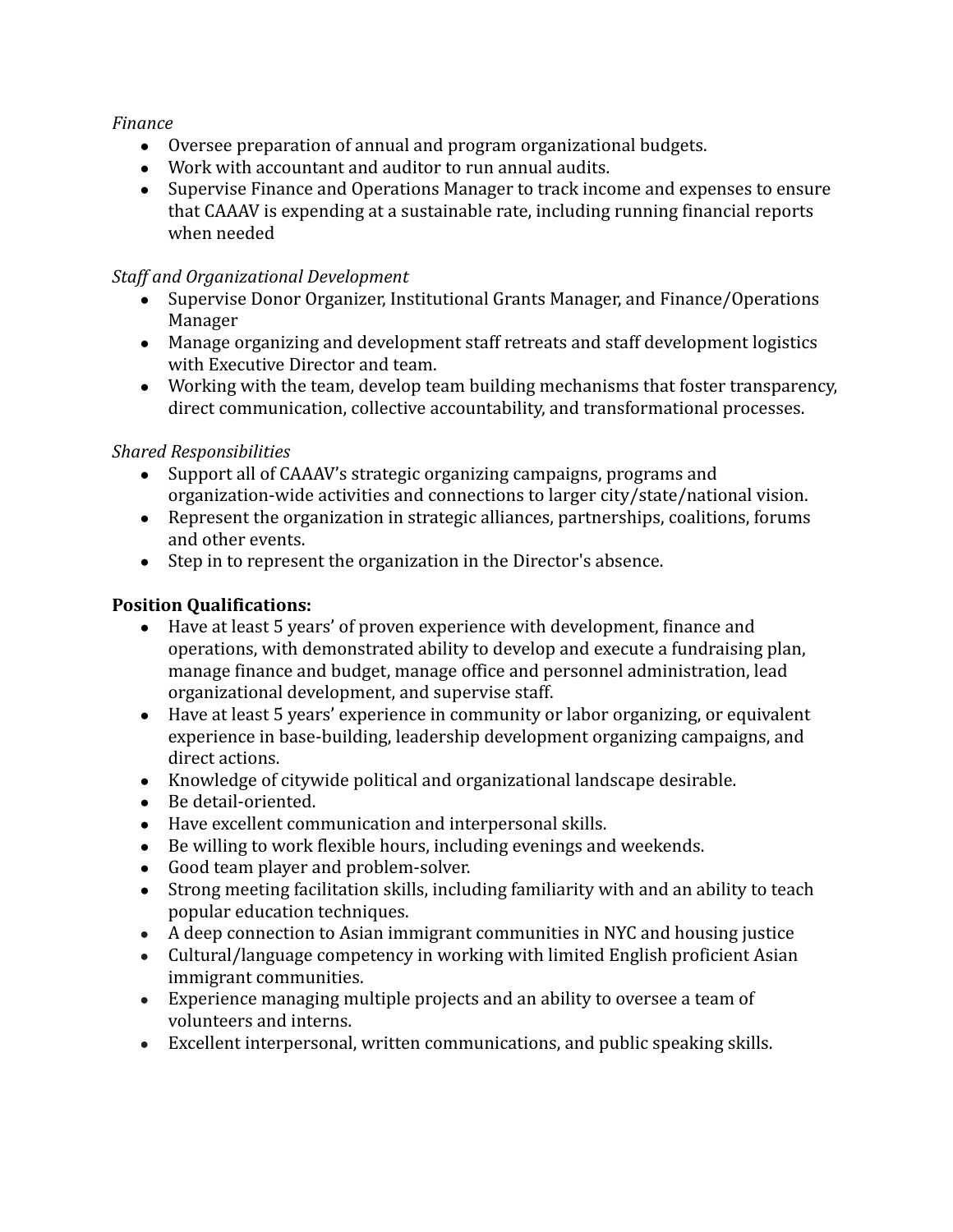### *Finance*

- Oversee preparation of annual and program organizational budgets.
- Work with accountant and auditor to run annual audits.
- Supervise Finance and Operations Manager to track income and expenses to ensure that CAAAV is expending at a sustainable rate, including running financial reports when needed

## *Staff and Organizational Development*

- Supervise Donor Organizer, Institutional Grants Manager, and Finance/Operations Manager
- Manage organizing and development staff retreats and staff development logistics with Executive Director and team.
- Working with the team, develop team building mechanisms that foster transparency, direct communication, collective accountability, and transformational processes.

# *Shared Responsibilities*

- Support all of CAAAV's strategic organizing campaigns, programs and organization-wide activities and connections to larger city/state/national vision.
- Represent the organization in strategic alliances, partnerships, coalitions, forums and other events.
- Step in to represent the organization in the Director's absence.

# **Position Qualifications:**

- Have at least 5 years' of proven experience with development, finance and operations, with demonstrated ability to develop and execute a fundraising plan, manage finance and budget, manage office and personnel administration, lead organizational development, and supervise staff.
- Have at least 5 years' experience in community or labor organizing, or equivalent experience in base-building, leadership development organizing campaigns, and direct actions.
- Knowledge of citywide political and organizational landscape desirable.
- Be detail-oriented.
- Have excellent communication and interpersonal skills.
- Be willing to work flexible hours, including evenings and weekends.
- Good team player and problem-solver.
- Strong meeting facilitation skills, including familiarity with and an ability to teach popular education techniques.
- A deep connection to Asian immigrant communities in NYC and housing justice
- Cultural/language competency in working with limited English proficient Asian immigrant communities.
- Experience managing multiple projects and an ability to oversee a team of volunteers and interns.
- Excellent interpersonal, written communications, and public speaking skills.